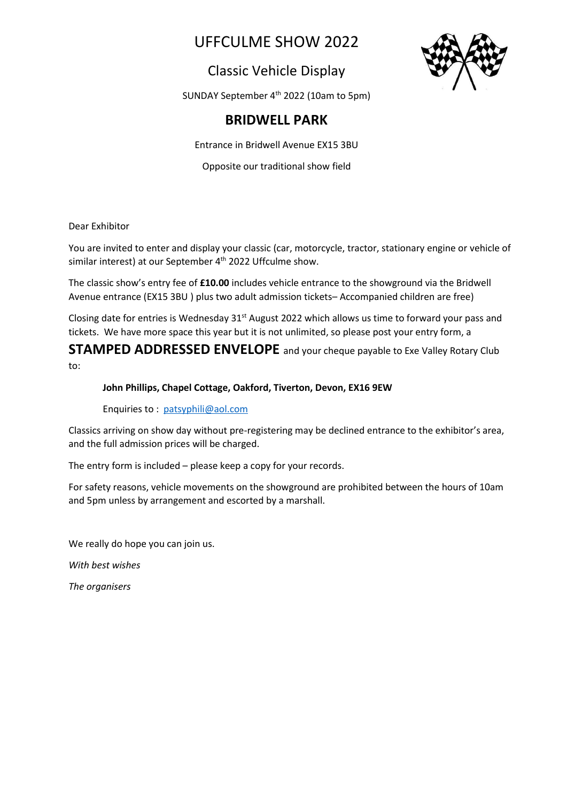# UFFCULME SHOW 2022

## Classic Vehicle Display



SUNDAY September 4<sup>th</sup> 2022 (10am to 5pm)

## **BRIDWELL PARK**

Entrance in Bridwell Avenue EX15 3BU

Opposite our traditional show field

Dear Exhibitor

You are invited to enter and display your classic (car, motorcycle, tractor, stationary engine or vehicle of similar interest) at our September 4<sup>th</sup> 2022 Uffculme show.

The classic show's entry fee of **£10.00** includes vehicle entrance to the showground via the Bridwell Avenue entrance (EX15 3BU ) plus two adult admission tickets– Accompanied children are free)

Closing date for entries is Wednesday  $31<sup>st</sup>$  August 2022 which allows us time to forward your pass and tickets. We have more space this year but it is not unlimited, so please post your entry form, a

**STAMPED ADDRESSED ENVELOPE** and your cheque payable to Exe Valley Rotary Club to:

## **John Phillips, Chapel Cottage, Oakford, Tiverton, Devon, EX16 9EW**

Enquiries to : [patsyphili@aol.com](mailto:patsyphili@aol.com)

Classics arriving on show day without pre-registering may be declined entrance to the exhibitor's area, and the full admission prices will be charged.

The entry form is included – please keep a copy for your records.

For safety reasons, vehicle movements on the showground are prohibited between the hours of 10am and 5pm unless by arrangement and escorted by a marshall.

We really do hope you can join us.

*With best wishes*

*The organisers*